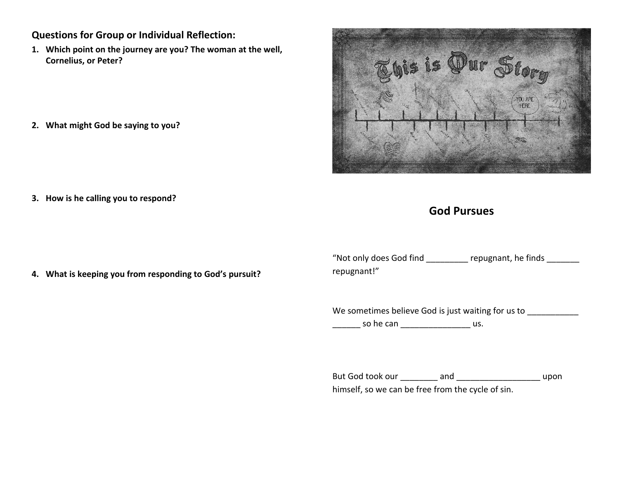## **Questions for Group or Individual Reflection:**

**1. Which point on the journey are you? The woman at the well, Cornelius, or Peter?**

**2. What might God be saying to you?**



**3. How is he calling you to respond?**

# **God Pursues**

**4. What is keeping you from responding to God's pursuit?**

"Not only does God find example repugnant, he finds repugnant!"

We sometimes believe God is just waiting for us to \_\_\_\_\_\_ so he can \_\_\_\_\_\_\_\_\_\_\_\_\_\_\_ us.

But God took our \_\_\_\_\_\_\_\_ and \_\_\_\_\_\_\_\_\_\_\_\_\_\_\_\_\_\_ upon himself, so we can be free from the cycle of sin.